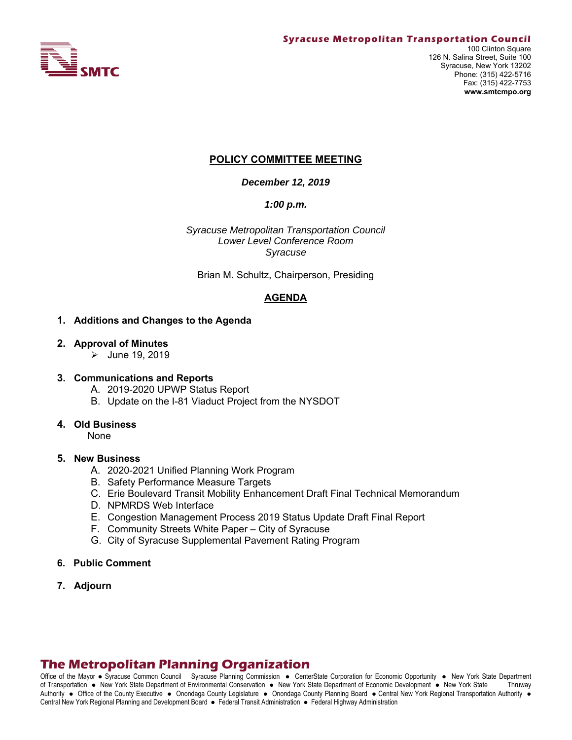

## **POLICY COMMITTEE MEETING**

*December 12, 2019* 

*1:00 p.m.*

*Syracuse Metropolitan Transportation Council Lower Level Conference Room Syracuse* 

Brian M. Schultz, Chairperson, Presiding

## **AGENDA**

#### **1. Additions and Changes to the Agenda**

#### **2. Approval of Minutes**

 $\blacktriangleright$  June 19, 2019

#### **3. Communications and Reports**

- A. 2019-2020 UPWP Status Report
- B. Update on the I-81 Viaduct Project from the NYSDOT

#### **4. Old Business**

None

#### **5. New Business**

- A. 2020-2021 Unified Planning Work Program
- B. Safety Performance Measure Targets
- C. Erie Boulevard Transit Mobility Enhancement Draft Final Technical Memorandum
- D. NPMRDS Web Interface
- E. Congestion Management Process 2019 Status Update Draft Final Report
- F. Community Streets White Paper City of Syracuse
- G. City of Syracuse Supplemental Pavement Rating Program
- **6. Public Comment**
- **7. Adjourn**

## **The Metropolitan Planning Organization**

Office of the Mayor • Syracuse Common Council Syracuse Planning Commission • CenterState Corporation for Economic Opportunity • New York State Department of Transportation New York State Department of Environmental Conservation New York State Department of Economic Development New York State Thruway Authority . Office of the County Executive . Onondaga County Legislature . Onondaga County Planning Board . Central New York Regional Transportation Authority . Central New York Regional Planning and Development Board · Federal Transit Administration · Federal Highway Administration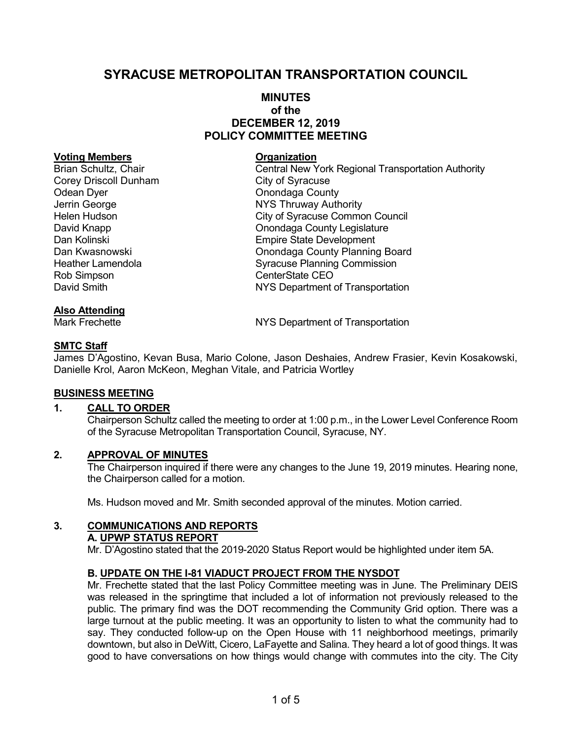# SYRACUSE METROPOLITAN TRANSPORTATION COUNCIL

## MINUTES of the DECEMBER 12, 2019 POLICY COMMITTEE MEETING

#### Voting Members **Contracts** Organization

Corey Driscoll Dunham City of Syracuse Odean Dyer **Onondaga County** Rob Simpson CenterState CEO

## Also Attending

Brian Schultz, Chair **Central New York Regional Transportation Authority** Jerrin George **NAT CONSTRANGE SETTER**<br>
Helen Hudson **NAT CONSTRANGE STATES**<br>
City of Syracuse Commo City of Syracuse Common Council David Knapp **David Knapp County Legislature Onondaga County Legislature** Dan Kolinski **Dan Kolinski** Empire State Development Dan Kwasnowski Onondaga County Planning Board Heather Lamendola Syracuse Planning Commission David Smith NYS Department of Transportation

Mark Frechette **NYS Department of Transportation** 

## SMTC Staff

James D'Agostino, Kevan Busa, Mario Colone, Jason Deshaies, Andrew Frasier, Kevin Kosakowski, Danielle Krol, Aaron McKeon, Meghan Vitale, and Patricia Wortley

## BUSINESS MEETING

## 1. CALL TO ORDER

Chairperson Schultz called the meeting to order at 1:00 p.m., in the Lower Level Conference Room of the Syracuse Metropolitan Transportation Council, Syracuse, NY.

## 2. APPROVAL OF MINUTES

The Chairperson inquired if there were any changes to the June 19, 2019 minutes. Hearing none, the Chairperson called for a motion.

Ms. Hudson moved and Mr. Smith seconded approval of the minutes. Motion carried.

## 3. COMMUNICATIONS AND REPORTS

#### A. UPWP STATUS REPORT

Mr. D'Agostino stated that the 2019-2020 Status Report would be highlighted under item 5A.

## B. UPDATE ON THE I-81 VIADUCT PROJECT FROM THE NYSDOT

Mr. Frechette stated that the last Policy Committee meeting was in June. The Preliminary DEIS was released in the springtime that included a lot of information not previously released to the public. The primary find was the DOT recommending the Community Grid option. There was a large turnout at the public meeting. It was an opportunity to listen to what the community had to say. They conducted follow-up on the Open House with 11 neighborhood meetings, primarily downtown, but also in DeWitt, Cicero, LaFayette and Salina. They heard a lot of good things. It was good to have conversations on how things would change with commutes into the city. The City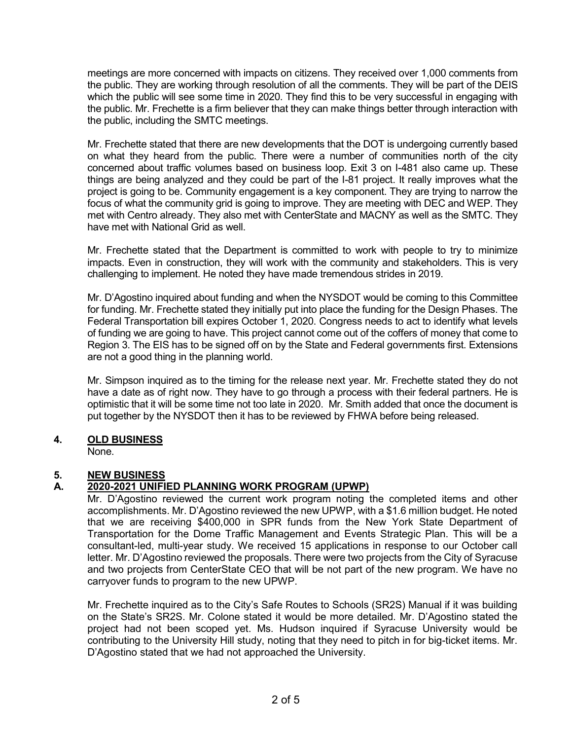meetings are more concerned with impacts on citizens. They received over 1,000 comments from the public. They are working through resolution of all the comments. They will be part of the DEIS which the public will see some time in 2020. They find this to be very successful in engaging with the public. Mr. Frechette is a firm believer that they can make things better through interaction with the public, including the SMTC meetings.

Mr. Frechette stated that there are new developments that the DOT is undergoing currently based on what they heard from the public. There were a number of communities north of the city concerned about traffic volumes based on business loop. Exit 3 on I-481 also came up. These things are being analyzed and they could be part of the I-81 project. It really improves what the project is going to be. Community engagement is a key component. They are trying to narrow the focus of what the community grid is going to improve. They are meeting with DEC and WEP. They met with Centro already. They also met with CenterState and MACNY as well as the SMTC. They have met with National Grid as well.

Mr. Frechette stated that the Department is committed to work with people to try to minimize impacts. Even in construction, they will work with the community and stakeholders. This is very challenging to implement. He noted they have made tremendous strides in 2019.

Mr. D'Agostino inquired about funding and when the NYSDOT would be coming to this Committee for funding. Mr. Frechette stated they initially put into place the funding for the Design Phases. The Federal Transportation bill expires October 1, 2020. Congress needs to act to identify what levels of funding we are going to have. This project cannot come out of the coffers of money that come to Region 3. The EIS has to be signed off on by the State and Federal governments first. Extensions are not a good thing in the planning world.

Mr. Simpson inquired as to the timing for the release next year. Mr. Frechette stated they do not have a date as of right now. They have to go through a process with their federal partners. He is optimistic that it will be some time not too late in 2020. Mr. Smith added that once the document is put together by the NYSDOT then it has to be reviewed by FHWA before being released.

## 4. OLD BUSINESS

None.

## 5. NEW BUSINESS

## A. 2020-2021 UNIFIED PLANNING WORK PROGRAM (UPWP)

Mr. D'Agostino reviewed the current work program noting the completed items and other accomplishments. Mr. D'Agostino reviewed the new UPWP, with a \$1.6 million budget. He noted that we are receiving \$400,000 in SPR funds from the New York State Department of Transportation for the Dome Traffic Management and Events Strategic Plan. This will be a consultant-led, multi-year study. We received 15 applications in response to our October call letter. Mr. D'Agostino reviewed the proposals. There were two projects from the City of Syracuse and two projects from CenterState CEO that will be not part of the new program. We have no carryover funds to program to the new UPWP.

Mr. Frechette inquired as to the City's Safe Routes to Schools (SR2S) Manual if it was building on the State's SR2S. Mr. Colone stated it would be more detailed. Mr. D'Agostino stated the project had not been scoped yet. Ms. Hudson inquired if Syracuse University would be contributing to the University Hill study, noting that they need to pitch in for big-ticket items. Mr. D'Agostino stated that we had not approached the University.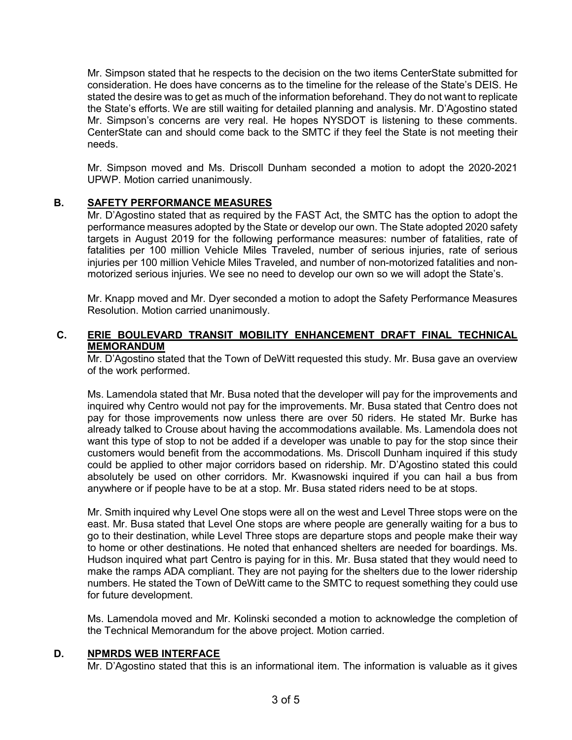Mr. Simpson stated that he respects to the decision on the two items CenterState submitted for consideration. He does have concerns as to the timeline for the release of the State's DEIS. He stated the desire was to get as much of the information beforehand. They do not want to replicate the State's efforts. We are still waiting for detailed planning and analysis. Mr. D'Agostino stated Mr. Simpson's concerns are very real. He hopes NYSDOT is listening to these comments. CenterState can and should come back to the SMTC if they feel the State is not meeting their needs.

Mr. Simpson moved and Ms. Driscoll Dunham seconded a motion to adopt the 2020-2021 UPWP. Motion carried unanimously.

## B. SAFETY PERFORMANCE MEASURES

Mr. D'Agostino stated that as required by the FAST Act, the SMTC has the option to adopt the performance measures adopted by the State or develop our own. The State adopted 2020 safety targets in August 2019 for the following performance measures: number of fatalities, rate of fatalities per 100 million Vehicle Miles Traveled, number of serious injuries, rate of serious injuries per 100 million Vehicle Miles Traveled, and number of non-motorized fatalities and nonmotorized serious injuries. We see no need to develop our own so we will adopt the State's.

Mr. Knapp moved and Mr. Dyer seconded a motion to adopt the Safety Performance Measures Resolution. Motion carried unanimously.

## C. ERIE BOULEVARD TRANSIT MOBILITY ENHANCEMENT DRAFT FINAL TECHNICAL MEMORANDUM

Mr. D'Agostino stated that the Town of DeWitt requested this study. Mr. Busa gave an overview of the work performed.

Ms. Lamendola stated that Mr. Busa noted that the developer will pay for the improvements and inquired why Centro would not pay for the improvements. Mr. Busa stated that Centro does not pay for those improvements now unless there are over 50 riders. He stated Mr. Burke has already talked to Crouse about having the accommodations available. Ms. Lamendola does not want this type of stop to not be added if a developer was unable to pay for the stop since their customers would benefit from the accommodations. Ms. Driscoll Dunham inquired if this study could be applied to other major corridors based on ridership. Mr. D'Agostino stated this could absolutely be used on other corridors. Mr. Kwasnowski inquired if you can hail a bus from anywhere or if people have to be at a stop. Mr. Busa stated riders need to be at stops.

Mr. Smith inquired why Level One stops were all on the west and Level Three stops were on the east. Mr. Busa stated that Level One stops are where people are generally waiting for a bus to go to their destination, while Level Three stops are departure stops and people make their way to home or other destinations. He noted that enhanced shelters are needed for boardings. Ms. Hudson inquired what part Centro is paying for in this. Mr. Busa stated that they would need to make the ramps ADA compliant. They are not paying for the shelters due to the lower ridership numbers. He stated the Town of DeWitt came to the SMTC to request something they could use for future development.

Ms. Lamendola moved and Mr. Kolinski seconded a motion to acknowledge the completion of the Technical Memorandum for the above project. Motion carried.

## D. NPMRDS WEB INTERFACE

Mr. D'Agostino stated that this is an informational item. The information is valuable as it gives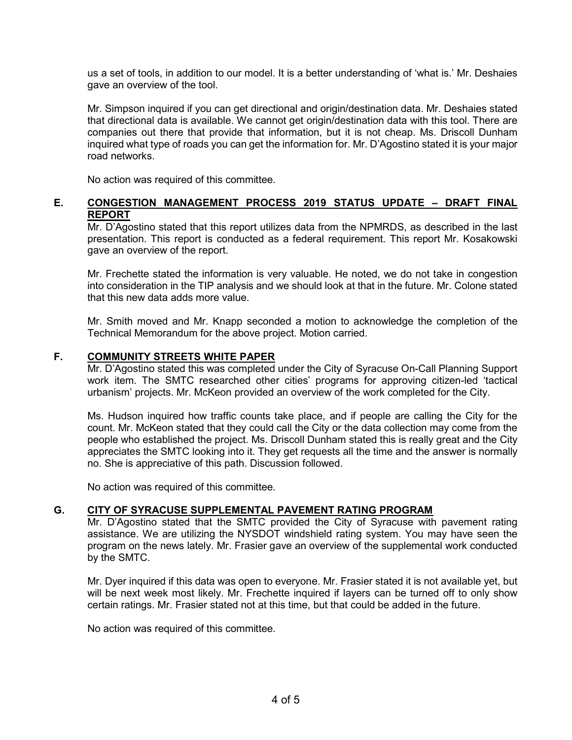us a set of tools, in addition to our model. It is a better understanding of 'what is.' Mr. Deshaies gave an overview of the tool.

Mr. Simpson inquired if you can get directional and origin/destination data. Mr. Deshaies stated that directional data is available. We cannot get origin/destination data with this tool. There are companies out there that provide that information, but it is not cheap. Ms. Driscoll Dunham inquired what type of roads you can get the information for. Mr. D'Agostino stated it is your major road networks.

No action was required of this committee.

## E. CONGESTION MANAGEMENT PROCESS 2019 STATUS UPDATE – DRAFT FINAL REPORT

Mr. D'Agostino stated that this report utilizes data from the NPMRDS, as described in the last presentation. This report is conducted as a federal requirement. This report Mr. Kosakowski gave an overview of the report.

Mr. Frechette stated the information is very valuable. He noted, we do not take in congestion into consideration in the TIP analysis and we should look at that in the future. Mr. Colone stated that this new data adds more value.

Mr. Smith moved and Mr. Knapp seconded a motion to acknowledge the completion of the Technical Memorandum for the above project. Motion carried.

## F. COMMUNITY STREETS WHITE PAPER

Mr. D'Agostino stated this was completed under the City of Syracuse On-Call Planning Support work item. The SMTC researched other cities' programs for approving citizen-led 'tactical urbanism' projects. Mr. McKeon provided an overview of the work completed for the City.

Ms. Hudson inquired how traffic counts take place, and if people are calling the City for the count. Mr. McKeon stated that they could call the City or the data collection may come from the people who established the project. Ms. Driscoll Dunham stated this is really great and the City appreciates the SMTC looking into it. They get requests all the time and the answer is normally no. She is appreciative of this path. Discussion followed.

No action was required of this committee.

#### G. CITY OF SYRACUSE SUPPLEMENTAL PAVEMENT RATING PROGRAM

Mr. D'Agostino stated that the SMTC provided the City of Syracuse with pavement rating assistance. We are utilizing the NYSDOT windshield rating system. You may have seen the program on the news lately. Mr. Frasier gave an overview of the supplemental work conducted by the SMTC.

Mr. Dyer inquired if this data was open to everyone. Mr. Frasier stated it is not available yet, but will be next week most likely. Mr. Frechette inquired if layers can be turned off to only show certain ratings. Mr. Frasier stated not at this time, but that could be added in the future.

No action was required of this committee.